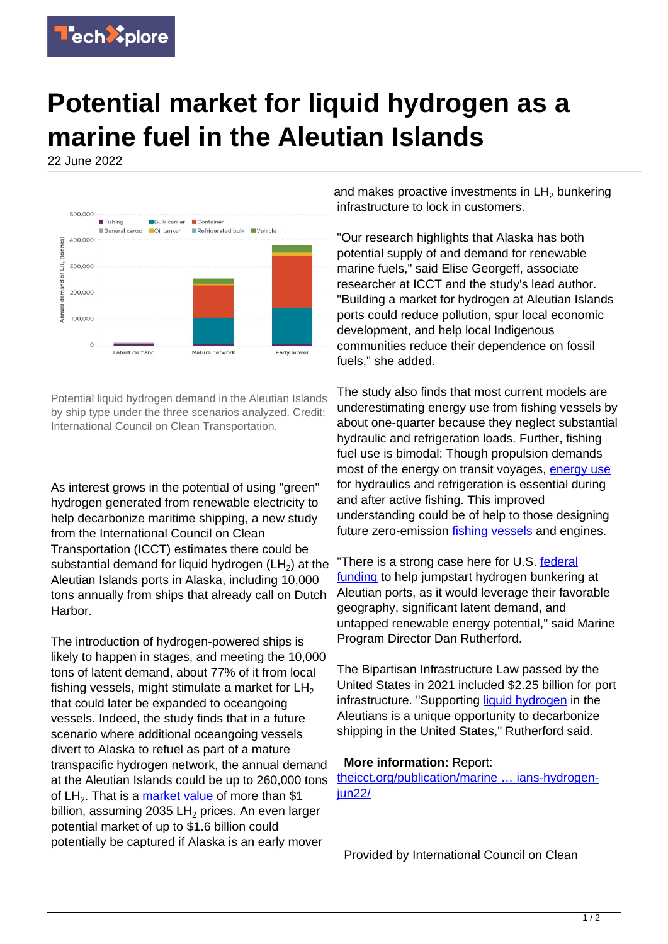

## **Potential market for liquid hydrogen as a marine fuel in the Aleutian Islands**

22 June 2022



Potential liquid hydrogen demand in the Aleutian Islands by ship type under the three scenarios analyzed. Credit: International Council on Clean Transportation.

As interest grows in the potential of using "green" hydrogen generated from renewable electricity to help decarbonize maritime shipping, a new study from the International Council on Clean Transportation (ICCT) estimates there could be substantial demand for liquid hydrogen (LH<sub>2</sub>) at the Aleutian Islands ports in Alaska, including 10,000 tons annually from ships that already call on Dutch Harbor.

The introduction of hydrogen-powered ships is likely to happen in stages, and meeting the 10,000 tons of latent demand, about 77% of it from local fishing vessels, might stimulate a market for  $LH<sub>2</sub>$ that could later be expanded to oceangoing vessels. Indeed, the study finds that in a future scenario where additional oceangoing vessels divert to Alaska to refuel as part of a mature transpacific hydrogen network, the annual demand at the Aleutian Islands could be up to 260,000 tons of LH<sub>2</sub>. That is a <u>market value</u> of more than \$1 billion, assuming 2035 LH $_2$  prices. An even larger potential market of up to \$1.6 billion could potentially be captured if Alaska is an early mover

and makes proactive investments in  $\mathsf{LH}_2$  bunkering infrastructure to lock in customers.

"Our research highlights that Alaska has both potential supply of and demand for renewable marine fuels," said Elise Georgeff, associate researcher at ICCT and the study's lead author. "Building a market for hydrogen at Aleutian Islands ports could reduce pollution, spur local economic development, and help local Indigenous communities reduce their dependence on fossil fuels," she added.

The study also finds that most current models are underestimating energy use from fishing vessels by about one-quarter because they neglect substantial hydraulic and refrigeration loads. Further, fishing fuel use is bimodal: Though propulsion demands most of the energy on transit voyages, [energy use](https://techxplore.com/tags/energy+use/) for hydraulics and refrigeration is essential during and after active fishing. This improved understanding could be of help to those designing future zero-emission [fishing vessels](https://techxplore.com/tags/fishing+vessels/) and engines.

"There is a strong case here for U.S. [federal](https://techxplore.com/tags/federal+funding/) [funding](https://techxplore.com/tags/federal+funding/) to help jumpstart hydrogen bunkering at Aleutian ports, as it would leverage their favorable geography, significant latent demand, and untapped renewable energy potential," said Marine Program Director Dan Rutherford.

The Bipartisan Infrastructure Law passed by the United States in 2021 included \$2.25 billion for port infrastructure. "Supporting [liquid hydrogen](https://techxplore.com/tags/liquid+hydrogen/) in the Aleutians is a unique opportunity to decarbonize shipping in the United States," Rutherford said.

## **More information:** Report:

[theicct.org/publication/marine … ians-hydrogen](https://theicct.org/publication/marine-us-aleutians-hydrogen-jun22/)jun<sub>22</sub>/

Provided by International Council on Clean